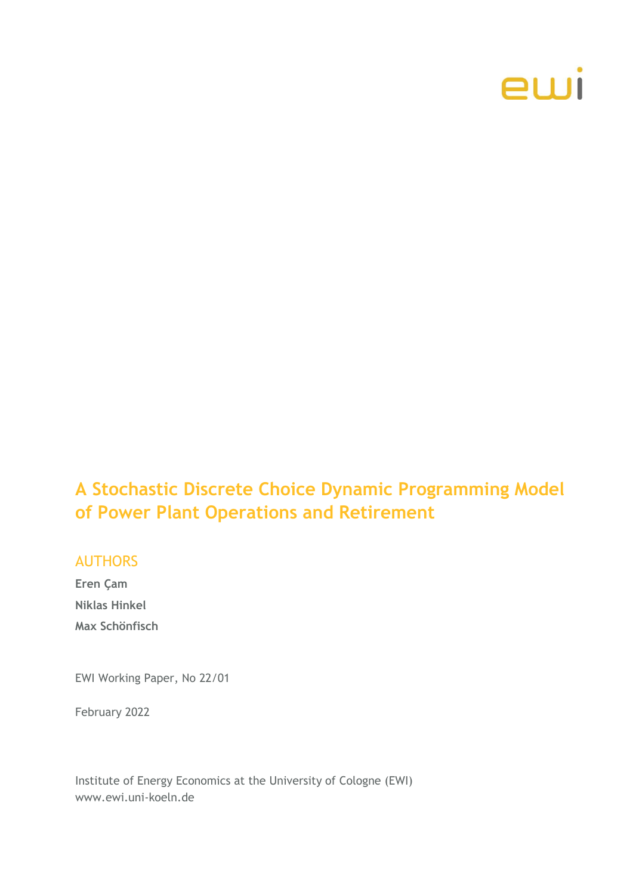

# **A Stochastic Discrete Choice Dynamic Programming Model of Power Plant Operations and Retirement**

### AUTHORS

**Eren Çam Niklas Hinkel Max Schönfisch**

EWI Working Paper, No 22/01

February 2022

Institute of Energy Economics at the University of Cologne (EWI) www.ewi.uni-koeln.de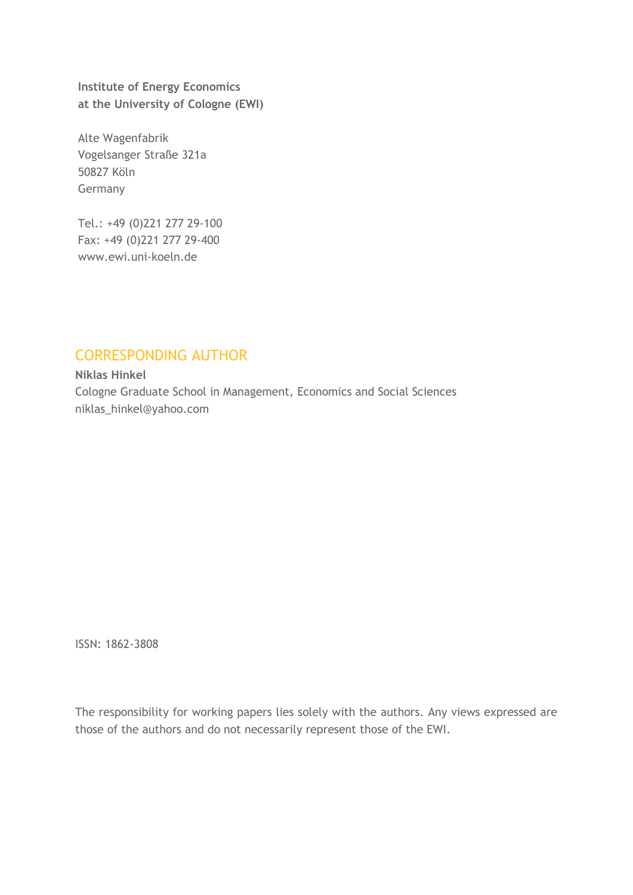**Institute of Energy Economics at the University of Cologne (EWI)**

Alte Wagenfabrik Vogelsanger Straße 321a 50827 Köln Germany

Tel.: +49 (0)221 277 29-100 Fax: +49 (0)221 277 29-400 www.ewi.uni-koeln.de

# CORRESPONDING AUTHOR

**Niklas Hinkel** Cologne Graduate School in Management, Economics and Social Sciences niklas\_hinkel@yahoo.com

ISSN: 1862-3808

The responsibility for working papers lies solely with the authors. Any views expressed are those of the authors and do not necessarily represent those of the EWI.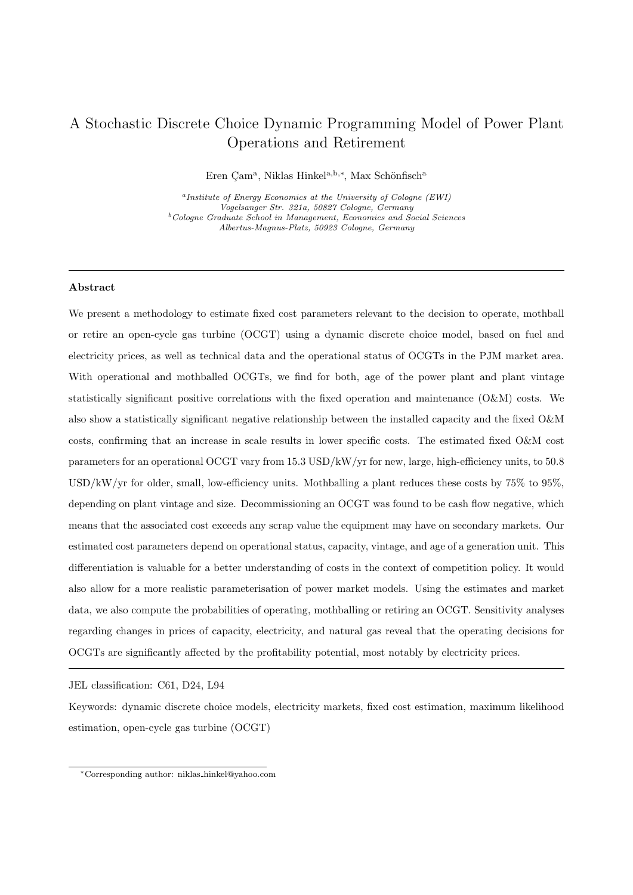# A Stochastic Discrete Choice Dynamic Programming Model of Power Plant Operations and Retirement

Eren Çam<sup>a</sup>, Niklas Hinkel<sup>a,b,\*</sup>, Max Schönfisch<sup>a</sup>

a Institute of Energy Economics at the University of Cologne (EWI) Vogelsanger Str. 321a, 50827 Cologne, Germany  $b$ <sup>b</sup>Cologne Graduate School in Management, Economics and Social Sciences Albertus-Magnus-Platz, 50923 Cologne, Germany

### Abstract

We present a methodology to estimate fixed cost parameters relevant to the decision to operate, mothball or retire an open-cycle gas turbine (OCGT) using a dynamic discrete choice model, based on fuel and electricity prices, as well as technical data and the operational status of OCGTs in the PJM market area. With operational and mothballed OCGTs, we find for both, age of the power plant and plant vintage statistically significant positive correlations with the fixed operation and maintenance (O&M) costs. We also show a statistically significant negative relationship between the installed capacity and the fixed O&M costs, confirming that an increase in scale results in lower specific costs. The estimated fixed O&M cost parameters for an operational OCGT vary from 15.3 USD/kW/yr for new, large, high-efficiency units, to 50.8 USD/kW/yr for older, small, low-efficiency units. Mothballing a plant reduces these costs by 75% to 95%, depending on plant vintage and size. Decommissioning an OCGT was found to be cash flow negative, which means that the associated cost exceeds any scrap value the equipment may have on secondary markets. Our estimated cost parameters depend on operational status, capacity, vintage, and age of a generation unit. This differentiation is valuable for a better understanding of costs in the context of competition policy. It would also allow for a more realistic parameterisation of power market models. Using the estimates and market data, we also compute the probabilities of operating, mothballing or retiring an OCGT. Sensitivity analyses regarding changes in prices of capacity, electricity, and natural gas reveal that the operating decisions for OCGTs are significantly affected by the profitability potential, most notably by electricity prices.

JEL classification: C61, D24, L94

Keywords: dynamic discrete choice models, electricity markets, fixed cost estimation, maximum likelihood estimation, open-cycle gas turbine (OCGT)

<sup>∗</sup>Corresponding author: niklas hinkel@yahoo.com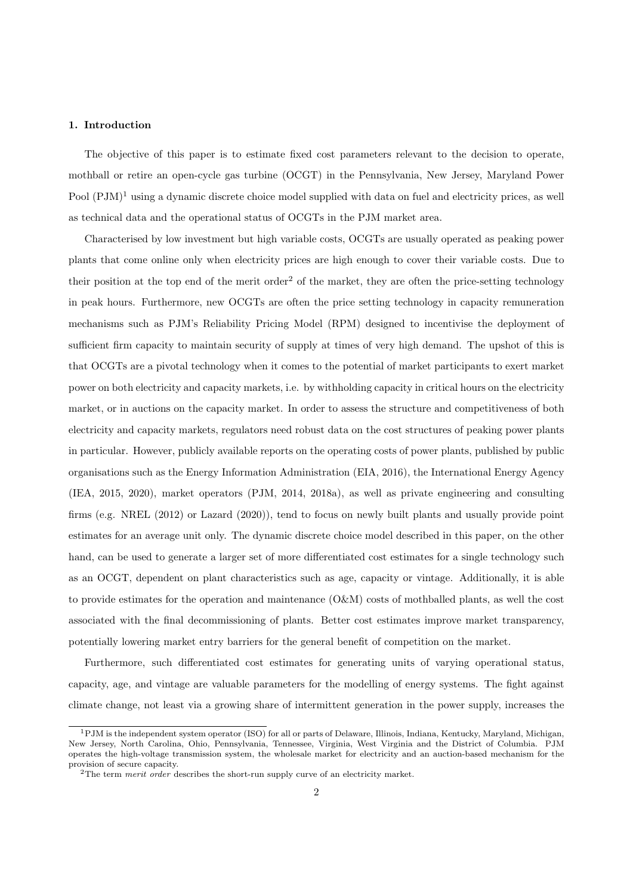#### 1. Introduction

The objective of this paper is to estimate fixed cost parameters relevant to the decision to operate, mothball or retire an open-cycle gas turbine (OCGT) in the Pennsylvania, New Jersey, Maryland Power Pool  $(PJM)^1$  using a dynamic discrete choice model supplied with data on fuel and electricity prices, as well as technical data and the operational status of OCGTs in the PJM market area.

Characterised by low investment but high variable costs, OCGTs are usually operated as peaking power plants that come online only when electricity prices are high enough to cover their variable costs. Due to their position at the top end of the merit order<sup>2</sup> of the market, they are often the price-setting technology in peak hours. Furthermore, new OCGTs are often the price setting technology in capacity remuneration mechanisms such as PJM's Reliability Pricing Model (RPM) designed to incentivise the deployment of sufficient firm capacity to maintain security of supply at times of very high demand. The upshot of this is that OCGTs are a pivotal technology when it comes to the potential of market participants to exert market power on both electricity and capacity markets, i.e. by withholding capacity in critical hours on the electricity market, or in auctions on the capacity market. In order to assess the structure and competitiveness of both electricity and capacity markets, regulators need robust data on the cost structures of peaking power plants in particular. However, publicly available reports on the operating costs of power plants, published by public organisations such as the Energy Information Administration (EIA, 2016), the International Energy Agency (IEA, 2015, 2020), market operators (PJM, 2014, 2018a), as well as private engineering and consulting firms (e.g. NREL (2012) or Lazard (2020)), tend to focus on newly built plants and usually provide point estimates for an average unit only. The dynamic discrete choice model described in this paper, on the other hand, can be used to generate a larger set of more differentiated cost estimates for a single technology such as an OCGT, dependent on plant characteristics such as age, capacity or vintage. Additionally, it is able to provide estimates for the operation and maintenance  $(O\&M)$  costs of mothballed plants, as well the cost associated with the final decommissioning of plants. Better cost estimates improve market transparency, potentially lowering market entry barriers for the general benefit of competition on the market.

Furthermore, such differentiated cost estimates for generating units of varying operational status, capacity, age, and vintage are valuable parameters for the modelling of energy systems. The fight against climate change, not least via a growing share of intermittent generation in the power supply, increases the

<sup>1</sup>PJM is the independent system operator (ISO) for all or parts of Delaware, Illinois, Indiana, Kentucky, Maryland, Michigan, New Jersey, North Carolina, Ohio, Pennsylvania, Tennessee, Virginia, West Virginia and the District of Columbia. PJM operates the high-voltage transmission system, the wholesale market for electricity and an auction-based mechanism for the provision of secure capacity.

<sup>&</sup>lt;sup>2</sup>The term merit order describes the short-run supply curve of an electricity market.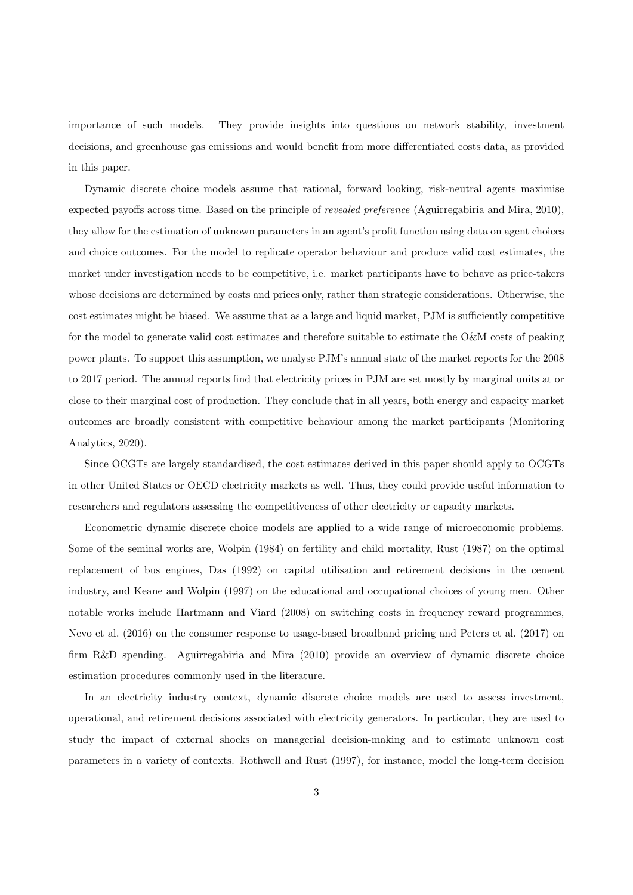importance of such models. They provide insights into questions on network stability, investment decisions, and greenhouse gas emissions and would benefit from more differentiated costs data, as provided in this paper.

Dynamic discrete choice models assume that rational, forward looking, risk-neutral agents maximise expected payoffs across time. Based on the principle of revealed preference (Aguirregabiria and Mira, 2010), they allow for the estimation of unknown parameters in an agent's profit function using data on agent choices and choice outcomes. For the model to replicate operator behaviour and produce valid cost estimates, the market under investigation needs to be competitive, i.e. market participants have to behave as price-takers whose decisions are determined by costs and prices only, rather than strategic considerations. Otherwise, the cost estimates might be biased. We assume that as a large and liquid market, PJM is sufficiently competitive for the model to generate valid cost estimates and therefore suitable to estimate the O&M costs of peaking power plants. To support this assumption, we analyse PJM's annual state of the market reports for the 2008 to 2017 period. The annual reports find that electricity prices in PJM are set mostly by marginal units at or close to their marginal cost of production. They conclude that in all years, both energy and capacity market outcomes are broadly consistent with competitive behaviour among the market participants (Monitoring Analytics, 2020).

Since OCGTs are largely standardised, the cost estimates derived in this paper should apply to OCGTs in other United States or OECD electricity markets as well. Thus, they could provide useful information to researchers and regulators assessing the competitiveness of other electricity or capacity markets.

Econometric dynamic discrete choice models are applied to a wide range of microeconomic problems. Some of the seminal works are, Wolpin (1984) on fertility and child mortality, Rust (1987) on the optimal replacement of bus engines, Das (1992) on capital utilisation and retirement decisions in the cement industry, and Keane and Wolpin (1997) on the educational and occupational choices of young men. Other notable works include Hartmann and Viard (2008) on switching costs in frequency reward programmes, Nevo et al. (2016) on the consumer response to usage-based broadband pricing and Peters et al. (2017) on firm R&D spending. Aguirregabiria and Mira (2010) provide an overview of dynamic discrete choice estimation procedures commonly used in the literature.

In an electricity industry context, dynamic discrete choice models are used to assess investment, operational, and retirement decisions associated with electricity generators. In particular, they are used to study the impact of external shocks on managerial decision-making and to estimate unknown cost parameters in a variety of contexts. Rothwell and Rust (1997), for instance, model the long-term decision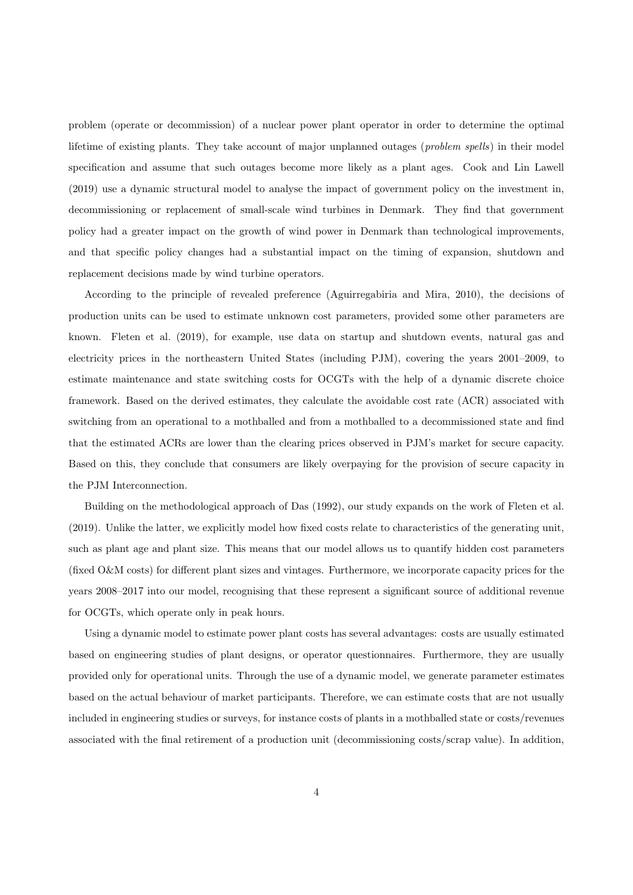problem (operate or decommission) of a nuclear power plant operator in order to determine the optimal lifetime of existing plants. They take account of major unplanned outages (*problem spells*) in their model specification and assume that such outages become more likely as a plant ages. Cook and Lin Lawell (2019) use a dynamic structural model to analyse the impact of government policy on the investment in, decommissioning or replacement of small-scale wind turbines in Denmark. They find that government policy had a greater impact on the growth of wind power in Denmark than technological improvements, and that specific policy changes had a substantial impact on the timing of expansion, shutdown and replacement decisions made by wind turbine operators.

According to the principle of revealed preference (Aguirregabiria and Mira, 2010), the decisions of production units can be used to estimate unknown cost parameters, provided some other parameters are known. Fleten et al. (2019), for example, use data on startup and shutdown events, natural gas and electricity prices in the northeastern United States (including PJM), covering the years 2001–2009, to estimate maintenance and state switching costs for OCGTs with the help of a dynamic discrete choice framework. Based on the derived estimates, they calculate the avoidable cost rate (ACR) associated with switching from an operational to a mothballed and from a mothballed to a decommissioned state and find that the estimated ACRs are lower than the clearing prices observed in PJM's market for secure capacity. Based on this, they conclude that consumers are likely overpaying for the provision of secure capacity in the PJM Interconnection.

Building on the methodological approach of Das (1992), our study expands on the work of Fleten et al. (2019). Unlike the latter, we explicitly model how fixed costs relate to characteristics of the generating unit, such as plant age and plant size. This means that our model allows us to quantify hidden cost parameters (fixed O&M costs) for different plant sizes and vintages. Furthermore, we incorporate capacity prices for the years 2008–2017 into our model, recognising that these represent a significant source of additional revenue for OCGTs, which operate only in peak hours.

Using a dynamic model to estimate power plant costs has several advantages: costs are usually estimated based on engineering studies of plant designs, or operator questionnaires. Furthermore, they are usually provided only for operational units. Through the use of a dynamic model, we generate parameter estimates based on the actual behaviour of market participants. Therefore, we can estimate costs that are not usually included in engineering studies or surveys, for instance costs of plants in a mothballed state or costs/revenues associated with the final retirement of a production unit (decommissioning costs/scrap value). In addition,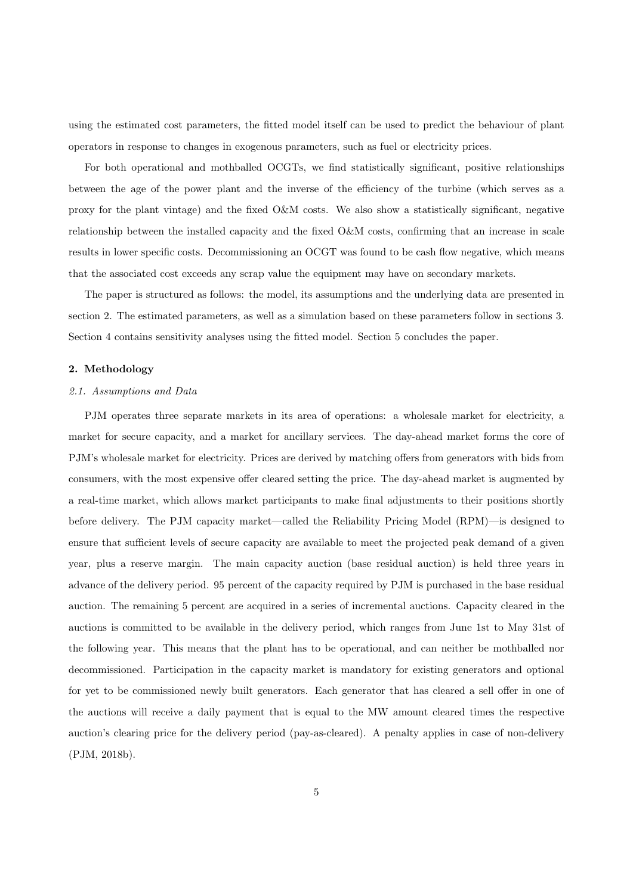using the estimated cost parameters, the fitted model itself can be used to predict the behaviour of plant operators in response to changes in exogenous parameters, such as fuel or electricity prices.

For both operational and mothballed OCGTs, we find statistically significant, positive relationships between the age of the power plant and the inverse of the efficiency of the turbine (which serves as a proxy for the plant vintage) and the fixed O&M costs. We also show a statistically significant, negative relationship between the installed capacity and the fixed O&M costs, confirming that an increase in scale results in lower specific costs. Decommissioning an OCGT was found to be cash flow negative, which means that the associated cost exceeds any scrap value the equipment may have on secondary markets.

The paper is structured as follows: the model, its assumptions and the underlying data are presented in section 2. The estimated parameters, as well as a simulation based on these parameters follow in sections 3. Section 4 contains sensitivity analyses using the fitted model. Section 5 concludes the paper.

#### 2. Methodology

#### 2.1. Assumptions and Data

PJM operates three separate markets in its area of operations: a wholesale market for electricity, a market for secure capacity, and a market for ancillary services. The day-ahead market forms the core of PJM's wholesale market for electricity. Prices are derived by matching offers from generators with bids from consumers, with the most expensive offer cleared setting the price. The day-ahead market is augmented by a real-time market, which allows market participants to make final adjustments to their positions shortly before delivery. The PJM capacity market—called the Reliability Pricing Model (RPM)—is designed to ensure that sufficient levels of secure capacity are available to meet the projected peak demand of a given year, plus a reserve margin. The main capacity auction (base residual auction) is held three years in advance of the delivery period. 95 percent of the capacity required by PJM is purchased in the base residual auction. The remaining 5 percent are acquired in a series of incremental auctions. Capacity cleared in the auctions is committed to be available in the delivery period, which ranges from June 1st to May 31st of the following year. This means that the plant has to be operational, and can neither be mothballed nor decommissioned. Participation in the capacity market is mandatory for existing generators and optional for yet to be commissioned newly built generators. Each generator that has cleared a sell offer in one of the auctions will receive a daily payment that is equal to the MW amount cleared times the respective auction's clearing price for the delivery period (pay-as-cleared). A penalty applies in case of non-delivery (PJM, 2018b).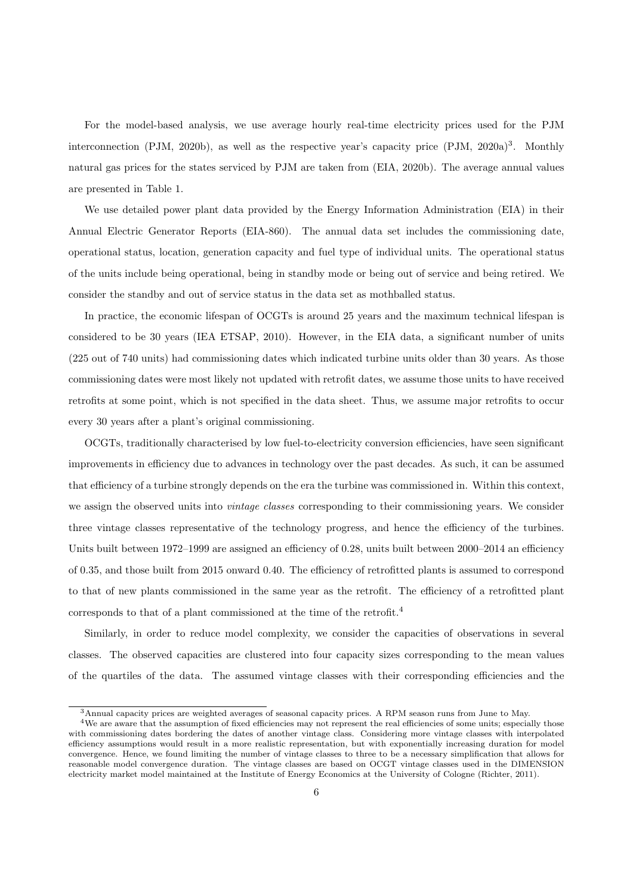For the model-based analysis, we use average hourly real-time electricity prices used for the PJM interconnection (PJM, 2020b), as well as the respective year's capacity price (PJM, 2020a)<sup>3</sup>. Monthly natural gas prices for the states serviced by PJM are taken from (EIA, 2020b). The average annual values are presented in Table 1.

We use detailed power plant data provided by the Energy Information Administration (EIA) in their Annual Electric Generator Reports (EIA-860). The annual data set includes the commissioning date, operational status, location, generation capacity and fuel type of individual units. The operational status of the units include being operational, being in standby mode or being out of service and being retired. We consider the standby and out of service status in the data set as mothballed status.

In practice, the economic lifespan of OCGTs is around 25 years and the maximum technical lifespan is considered to be 30 years (IEA ETSAP, 2010). However, in the EIA data, a significant number of units (225 out of 740 units) had commissioning dates which indicated turbine units older than 30 years. As those commissioning dates were most likely not updated with retrofit dates, we assume those units to have received retrofits at some point, which is not specified in the data sheet. Thus, we assume major retrofits to occur every 30 years after a plant's original commissioning.

OCGTs, traditionally characterised by low fuel-to-electricity conversion efficiencies, have seen significant improvements in efficiency due to advances in technology over the past decades. As such, it can be assumed that efficiency of a turbine strongly depends on the era the turbine was commissioned in. Within this context, we assign the observed units into *vintage classes* corresponding to their commissioning years. We consider three vintage classes representative of the technology progress, and hence the efficiency of the turbines. Units built between 1972–1999 are assigned an efficiency of 0.28, units built between 2000–2014 an efficiency of 0.35, and those built from 2015 onward 0.40. The efficiency of retrofitted plants is assumed to correspond to that of new plants commissioned in the same year as the retrofit. The efficiency of a retrofitted plant corresponds to that of a plant commissioned at the time of the retrofit.4

Similarly, in order to reduce model complexity, we consider the capacities of observations in several classes. The observed capacities are clustered into four capacity sizes corresponding to the mean values of the quartiles of the data. The assumed vintage classes with their corresponding efficiencies and the

<sup>3</sup>Annual capacity prices are weighted averages of seasonal capacity prices. A RPM season runs from June to May.

<sup>&</sup>lt;sup>4</sup>We are aware that the assumption of fixed efficiencies may not represent the real efficiencies of some units; especially those with commissioning dates bordering the dates of another vintage class. Considering more vintage classes with interpolated efficiency assumptions would result in a more realistic representation, but with exponentially increasing duration for model convergence. Hence, we found limiting the number of vintage classes to three to be a necessary simplification that allows for reasonable model convergence duration. The vintage classes are based on OCGT vintage classes used in the DIMENSION electricity market model maintained at the Institute of Energy Economics at the University of Cologne (Richter, 2011).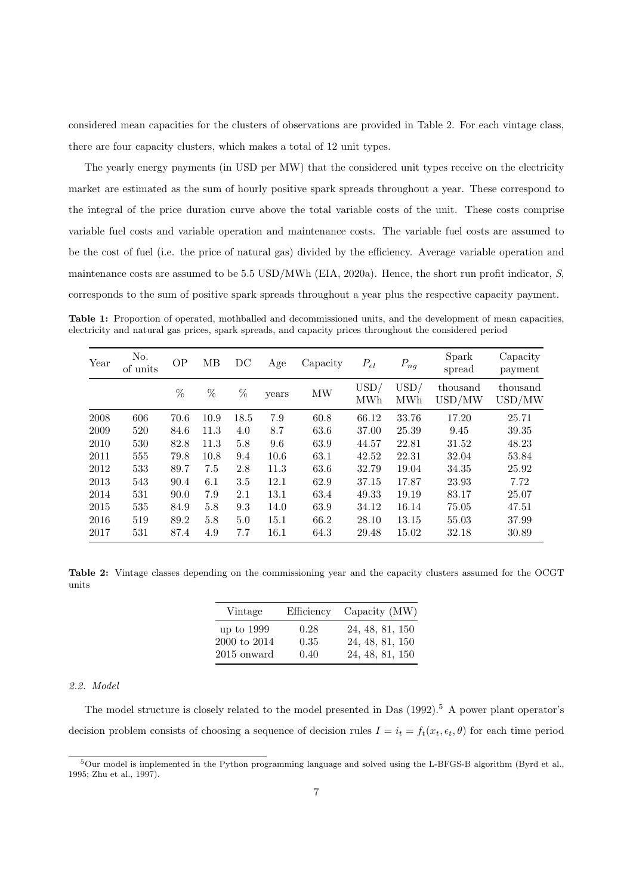considered mean capacities for the clusters of observations are provided in Table 2. For each vintage class, there are four capacity clusters, which makes a total of 12 unit types.

The yearly energy payments (in USD per MW) that the considered unit types receive on the electricity market are estimated as the sum of hourly positive spark spreads throughout a year. These correspond to the integral of the price duration curve above the total variable costs of the unit. These costs comprise variable fuel costs and variable operation and maintenance costs. The variable fuel costs are assumed to be the cost of fuel (i.e. the price of natural gas) divided by the efficiency. Average variable operation and maintenance costs are assumed to be 5.5 USD/MWh (EIA, 2020a). Hence, the short run profit indicator, S, corresponds to the sum of positive spark spreads throughout a year plus the respective capacity payment.

Table 1: Proportion of operated, mothballed and decommissioned units, and the development of mean capacities, electricity and natural gas prices, spark spreads, and capacity prices throughout the considered period

| Year | No.<br>of units | <b>OP</b> | MВ   | DC   | Age   | Capacity | $P_{el}$    | $P_{ng}$    | Spark<br>spread    | Capacity<br>payment |
|------|-----------------|-----------|------|------|-------|----------|-------------|-------------|--------------------|---------------------|
|      |                 | %         | %    | %    | years | MW       | USD/<br>MWh | USD/<br>MWh | thousand<br>USD/MW | thousand<br>USD/MW  |
| 2008 | 606             | 70.6      | 10.9 | 18.5 | 7.9   | 60.8     | 66.12       | 33.76       | 17.20              | 25.71               |
| 2009 | 520             | 84.6      | 11.3 | 4.0  | 8.7   | 63.6     | 37.00       | 25.39       | 9.45               | 39.35               |
| 2010 | 530             | 82.8      | 11.3 | 5.8  | 9.6   | 63.9     | 44.57       | 22.81       | 31.52              | 48.23               |
| 2011 | 555             | 79.8      | 10.8 | 9.4  | 10.6  | 63.1     | 42.52       | 22.31       | 32.04              | 53.84               |
| 2012 | 533             | 89.7      | 7.5  | 2.8  | 11.3  | 63.6     | 32.79       | 19.04       | 34.35              | 25.92               |
| 2013 | 543             | 90.4      | 6.1  | 3.5  | 12.1  | 62.9     | 37.15       | 17.87       | 23.93              | 7.72                |
| 2014 | 531             | 90.0      | 7.9  | 2.1  | 13.1  | 63.4     | 49.33       | 19.19       | 83.17              | 25.07               |
| 2015 | 535             | 84.9      | 5.8  | 9.3  | 14.0  | 63.9     | 34.12       | 16.14       | 75.05              | 47.51               |
| 2016 | 519             | 89.2      | 5.8  | 5.0  | 15.1  | 66.2     | 28.10       | 13.15       | 55.03              | 37.99               |
| 2017 | 531             | 87.4      | 4.9  | 7.7  | 16.1  | 64.3     | 29.48       | 15.02       | 32.18              | 30.89               |

Table 2: Vintage classes depending on the commissioning year and the capacity clusters assumed for the OCGT units

| Vintage            | Efficiency | Capacity $(MW)$ |
|--------------------|------------|-----------------|
| up to 1999         | 0.28       | 24, 48, 81, 150 |
| $2000$ to $2014\,$ | 0.35       | 24, 48, 81, 150 |
| $2015$ onward      | 0.40       | 24, 48, 81, 150 |

#### 2.2. Model

The model structure is closely related to the model presented in Das (1992).<sup>5</sup> A power plant operator's decision problem consists of choosing a sequence of decision rules  $I = i_t = f_t(x_t, \epsilon_t, \theta)$  for each time period

<sup>5</sup>Our model is implemented in the Python programming language and solved using the L-BFGS-B algorithm (Byrd et al., 1995; Zhu et al., 1997).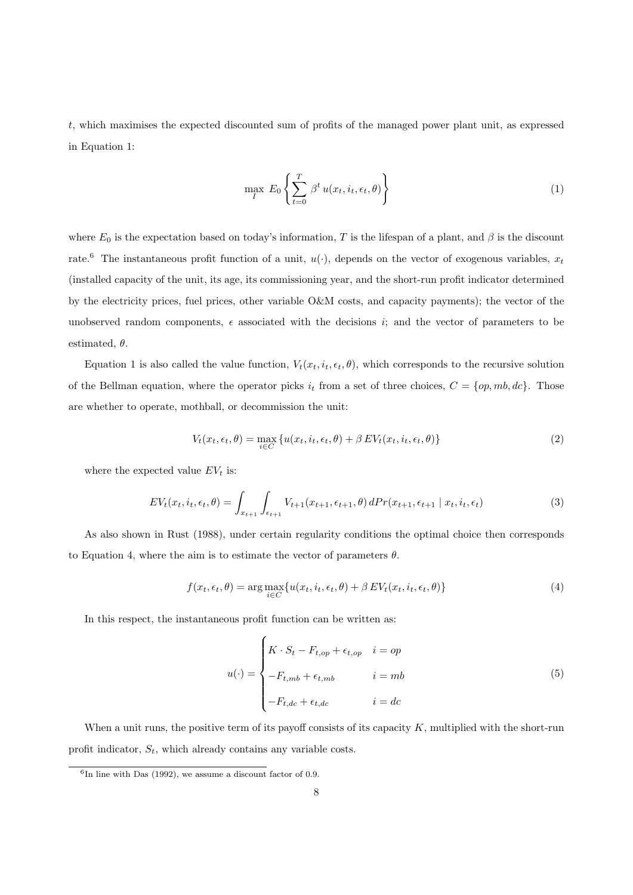t, which maximises the expected discounted sum of profits of the managed power plant unit, as expressed in Equation 1:

$$
\max_{I} E_0 \left\{ \sum_{t=0}^{T} \beta^t u(x_t, i_t, \epsilon_t, \theta) \right\} \tag{1}
$$

where  $E_0$  is the expectation based on today's information, T is the lifespan of a plant, and  $\beta$  is the discount rate.<sup>6</sup> The instantaneous profit function of a unit,  $u(\cdot)$ , depends on the vector of exogenous variables,  $x_t$ (installed capacity of the unit, its age, its commissioning year, and the short-run profit indicator determined by the electricity prices, fuel prices, other variable O&M costs, and capacity payments); the vector of the unobserved random components,  $\epsilon$  associated with the decisions i; and the vector of parameters to be estimated,  $\theta$ .

Equation 1 is also called the value function,  $V_t(x_t, i_t, \epsilon_t, \theta)$ , which corresponds to the recursive solution of the Bellman equation, where the operator picks  $i_t$  from a set of three choices,  $C = \{op, mb, dc\}$ . Those are whether to operate, mothball, or decommission the unit:

$$
V_t(x_t, \epsilon_t, \theta) = \max_{i \in C} \{ u(x_t, i_t, \epsilon_t, \theta) + \beta E V_t(x_t, i_t, \epsilon_t, \theta) \}
$$
(2)

where the expected value  $EV_t$  is:

$$
EV_t(x_t, i_t, \epsilon_t, \theta) = \int_{x_{t+1}} \int_{\epsilon_{t+1}} V_{t+1}(x_{t+1}, \epsilon_{t+1}, \theta) \, dPr(x_{t+1}, \epsilon_{t+1} \mid x_t, i_t, \epsilon_t)
$$
\n
$$
\tag{3}
$$

As also shown in Rust (1988), under certain regularity conditions the optimal choice then corresponds to Equation 4, where the aim is to estimate the vector of parameters  $\theta$ .

$$
f(x_t, \epsilon_t, \theta) = \arg \max_{i \in C} \{ u(x_t, i_t, \epsilon_t, \theta) + \beta E V_t(x_t, i_t, \epsilon_t, \theta) \}
$$
(4)

In this respect, the instantaneous profit function can be written as:

$$
u(\cdot) = \begin{cases} K \cdot S_t - F_{t,op} + \epsilon_{t,op} & i = op \\ -F_{t,mb} + \epsilon_{t,mb} & i = mb \\ -F_{t,dc} + \epsilon_{t,dc} & i = dc \end{cases} \tag{5}
$$

When a unit runs, the positive term of its payoff consists of its capacity  $K$ , multiplied with the short-run profit indicator,  $S_t$ , which already contains any variable costs.

 ${}^{6}$ In line with Das (1992), we assume a discount factor of 0.9.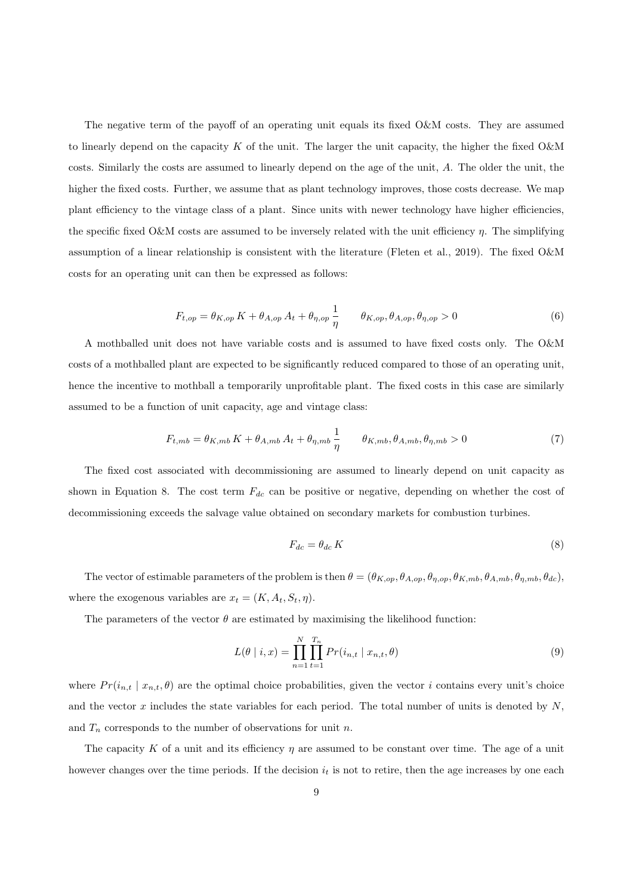The negative term of the payoff of an operating unit equals its fixed O&M costs. They are assumed to linearly depend on the capacity K of the unit. The larger the unit capacity, the higher the fixed  $\alpha$ costs. Similarly the costs are assumed to linearly depend on the age of the unit, A. The older the unit, the higher the fixed costs. Further, we assume that as plant technology improves, those costs decrease. We map plant efficiency to the vintage class of a plant. Since units with newer technology have higher efficiencies, the specific fixed O&M costs are assumed to be inversely related with the unit efficiency  $\eta$ . The simplifying assumption of a linear relationship is consistent with the literature (Fleten et al., 2019). The fixed O&M costs for an operating unit can then be expressed as follows:

$$
F_{t,op} = \theta_{K,op} K + \theta_{A,op} A_t + \theta_{\eta,op} \frac{1}{\eta} \qquad \theta_{K,op}, \theta_{A,op}, \theta_{\eta,op} > 0 \tag{6}
$$

A mothballed unit does not have variable costs and is assumed to have fixed costs only. The O&M costs of a mothballed plant are expected to be significantly reduced compared to those of an operating unit, hence the incentive to mothball a temporarily unprofitable plant. The fixed costs in this case are similarly assumed to be a function of unit capacity, age and vintage class:

$$
F_{t,mb} = \theta_{K,mb} K + \theta_{A,mb} A_t + \theta_{\eta,mb} \frac{1}{\eta} \qquad \theta_{K,mb}, \theta_{A,mb}, \theta_{\eta,mb} > 0 \tag{7}
$$

The fixed cost associated with decommissioning are assumed to linearly depend on unit capacity as shown in Equation 8. The cost term  $F_{dc}$  can be positive or negative, depending on whether the cost of decommissioning exceeds the salvage value obtained on secondary markets for combustion turbines.

$$
F_{dc} = \theta_{dc} K \tag{8}
$$

The vector of estimable parameters of the problem is then  $\theta = (\theta_{K,op}, \theta_{A,op}, \theta_{n,op}, \theta_{K,mb}, \theta_{A,mb}, \theta_{n,mb}, \theta_{dc})$ where the exogenous variables are  $x_t = (K, A_t, S_t, \eta)$ .

The parameters of the vector  $\theta$  are estimated by maximising the likelihood function:

$$
L(\theta \mid i, x) = \prod_{n=1}^{N} \prod_{t=1}^{T_n} Pr(i_{n,t} \mid x_{n,t}, \theta)
$$
\n(9)

where  $Pr(i_{n,t} | x_{n,t}, \theta)$  are the optimal choice probabilities, given the vector i contains every unit's choice and the vector x includes the state variables for each period. The total number of units is denoted by  $N$ , and  $T_n$  corresponds to the number of observations for unit n.

The capacity K of a unit and its efficiency  $\eta$  are assumed to be constant over time. The age of a unit however changes over the time periods. If the decision  $i_t$  is not to retire, then the age increases by one each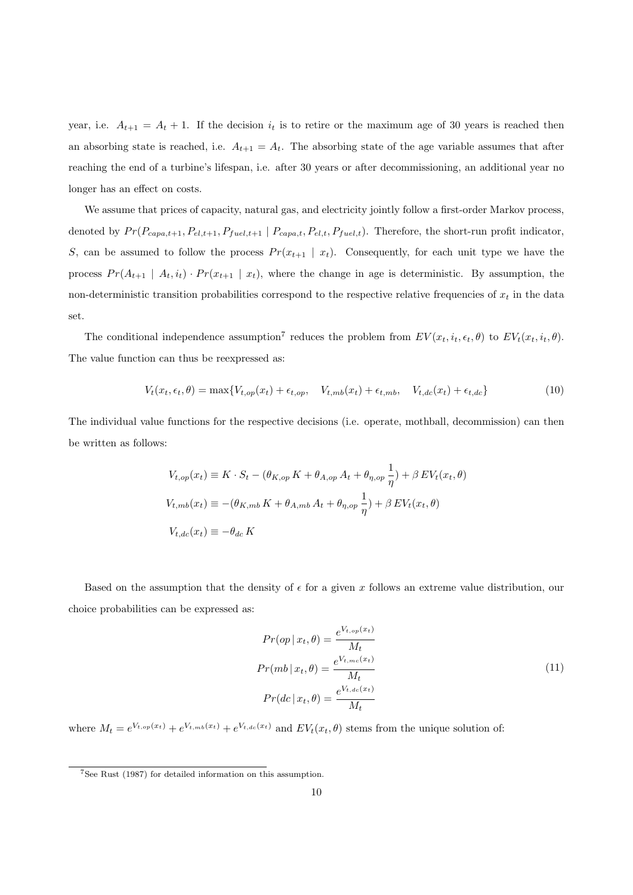year, i.e.  $A_{t+1} = A_t + 1$ . If the decision  $i_t$  is to retire or the maximum age of 30 years is reached then an absorbing state is reached, i.e.  $A_{t+1} = A_t$ . The absorbing state of the age variable assumes that after reaching the end of a turbine's lifespan, i.e. after 30 years or after decommissioning, an additional year no longer has an effect on costs.

We assume that prices of capacity, natural gas, and electricity jointly follow a first-order Markov process, denoted by  $Pr(P_{capa,t+1}, P_{el,t+1}, P_{fuel,t+1} | P_{capa,t}, P_{el,t}, P_{fuel,t}).$  Therefore, the short-run profit indicator, S, can be assumed to follow the process  $Pr(x_{t+1} | x_t)$ . Consequently, for each unit type we have the process  $Pr(A_{t+1} | A_t, i_t) \cdot Pr(x_{t+1} | x_t)$ , where the change in age is deterministic. By assumption, the non-deterministic transition probabilities correspond to the respective relative frequencies of  $x_t$  in the data set.

The conditional independence assumption<sup>7</sup> reduces the problem from  $EV(x_t, i_t, \epsilon_t, \theta)$  to  $EV_t(x_t, i_t, \theta)$ . The value function can thus be reexpressed as:

$$
V_t(x_t, \epsilon_t, \theta) = \max\{V_{t,op}(x_t) + \epsilon_{t,op}, V_{t,mb}(x_t) + \epsilon_{t,mb}, V_{t,dc}(x_t) + \epsilon_{t,dc}\}\tag{10}
$$

The individual value functions for the respective decisions (i.e. operate, mothball, decommission) can then be written as follows:

$$
V_{t,op}(x_t) \equiv K \cdot S_t - (\theta_{K,op} K + \theta_{A,op} A_t + \theta_{\eta,op} \frac{1}{\eta}) + \beta E V_t(x_t, \theta)
$$
  

$$
V_{t,mb}(x_t) \equiv -(\theta_{K,mb} K + \theta_{A,mb} A_t + \theta_{\eta,op} \frac{1}{\eta}) + \beta E V_t(x_t, \theta)
$$
  

$$
V_{t,dc}(x_t) \equiv -\theta_{dc} K
$$

Based on the assumption that the density of  $\epsilon$  for a given x follows an extreme value distribution, our choice probabilities can be expressed as:

$$
Pr(op | x_t, \theta) = \frac{e^{V_{t, op}(x_t)}}{M_t}
$$

$$
Pr(mb | x_t, \theta) = \frac{e^{V_{t,mc}(x_t)}}{M_t}
$$

$$
Pr(dc | x_t, \theta) = \frac{e^{V_{t,dc}(x_t)}}{M_t}
$$
(11)

where  $M_t = e^{V_{t,op}(x_t)} + e^{V_{t,mb}(x_t)} + e^{V_{t,dc}(x_t)}$  and  $EV_t(x_t, \theta)$  stems from the unique solution of:

<sup>7</sup>See Rust (1987) for detailed information on this assumption.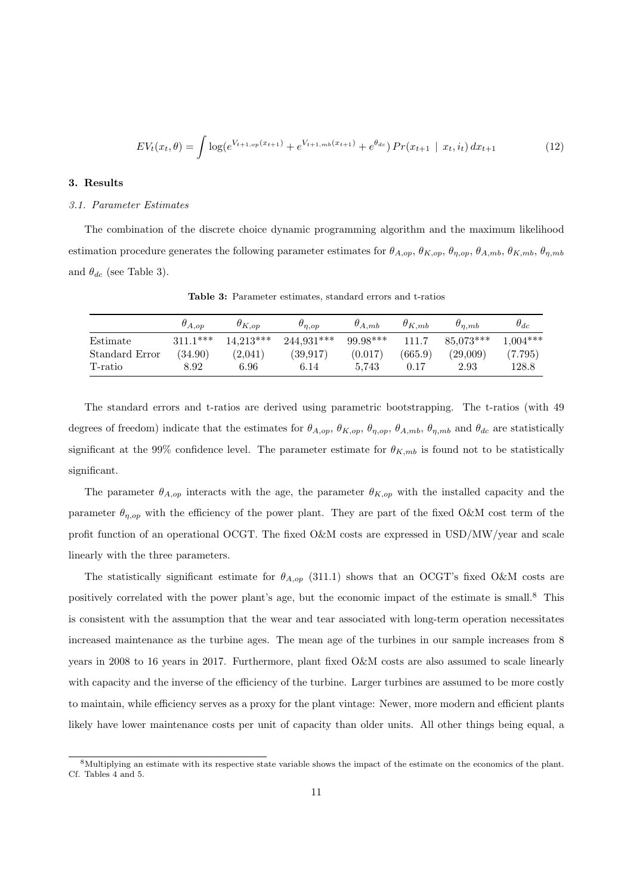$$
EV_t(x_t, \theta) = \int \log(e^{V_{t+1, op}(x_{t+1})} + e^{V_{t+1, mb}(x_{t+1})} + e^{\theta_{dc}}) Pr(x_{t+1} \mid x_t, i_t) dx_{t+1}
$$
(12)

#### 3. Results

#### 3.1. Parameter Estimates

The combination of the discrete choice dynamic programming algorithm and the maximum likelihood estimation procedure generates the following parameter estimates for  $\theta_{A,op}, \theta_{K,op}, \theta_{n,op}, \theta_{A,mb}, \theta_{K,mb}, \theta_{n,mb}$ and  $\theta_{dc}$  (see Table 3).

|                | $\theta_{A,op}$ | $\theta_{K,op}$ | $\theta_{n,op}$ | $\theta_{A,mb}$ | $\theta_{K,mb}$ | $\theta_{n,mb}$ | $\theta_{dc}$ |
|----------------|-----------------|-----------------|-----------------|-----------------|-----------------|-----------------|---------------|
| Estimate       | $311.1***$      | $14.213***$     | $244.931***$    | $99.98***$      | 111.7           | 85,073***       | $1,004***$    |
| Standard Error | (34.90)         | (2,041)         | (39.917)        | (0.017)         | (665.9)         | (29,009)        | (7.795)       |
| T-ratio        | 8.92            | 6.96            | 6.14            | 5.743           | 0.17            | 2.93            | 128.8         |

Table 3: Parameter estimates, standard errors and t-ratios

The standard errors and t-ratios are derived using parametric bootstrapping. The t-ratios (with 49 degrees of freedom) indicate that the estimates for  $\theta_{A,op}, \theta_{K,op}, \theta_{\eta,op}, \theta_{A,mb}, \theta_{\eta,mb}$  and  $\theta_{dc}$  are statistically significant at the 99% confidence level. The parameter estimate for  $\theta_{K,mb}$  is found not to be statistically significant.

The parameter  $\theta_{A,op}$  interacts with the age, the parameter  $\theta_{K,op}$  with the installed capacity and the parameter  $\theta_{\eta,op}$  with the efficiency of the power plant. They are part of the fixed O&M cost term of the profit function of an operational OCGT. The fixed O&M costs are expressed in USD/MW/year and scale linearly with the three parameters.

The statistically significant estimate for  $\theta_{A,op}$  (311.1) shows that an OCGT's fixed O&M costs are positively correlated with the power plant's age, but the economic impact of the estimate is small.8 This is consistent with the assumption that the wear and tear associated with long-term operation necessitates increased maintenance as the turbine ages. The mean age of the turbines in our sample increases from 8 years in 2008 to 16 years in 2017. Furthermore, plant fixed O&M costs are also assumed to scale linearly with capacity and the inverse of the efficiency of the turbine. Larger turbines are assumed to be more costly to maintain, while efficiency serves as a proxy for the plant vintage: Newer, more modern and efficient plants likely have lower maintenance costs per unit of capacity than older units. All other things being equal, a

<sup>8</sup>Multiplying an estimate with its respective state variable shows the impact of the estimate on the economics of the plant. Cf. Tables 4 and 5.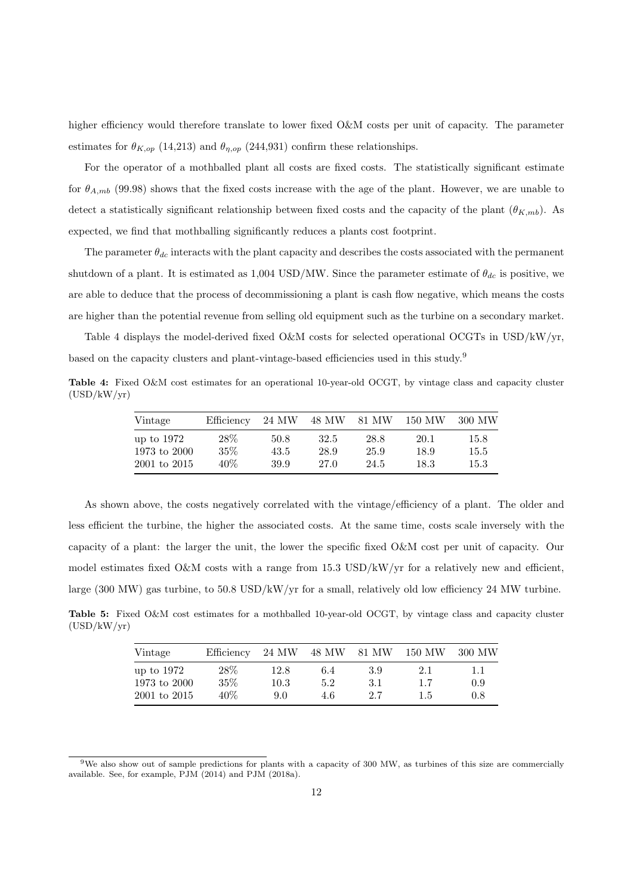higher efficiency would therefore translate to lower fixed O&M costs per unit of capacity. The parameter estimates for  $\theta_{K,op}$  (14,213) and  $\theta_{n,op}$  (244,931) confirm these relationships.

For the operator of a mothballed plant all costs are fixed costs. The statistically significant estimate for  $\theta_{A,mb}$  (99.98) shows that the fixed costs increase with the age of the plant. However, we are unable to detect a statistically significant relationship between fixed costs and the capacity of the plant  $(\theta_{K,mb})$ . As expected, we find that mothballing significantly reduces a plants cost footprint.

The parameter  $\theta_{dc}$  interacts with the plant capacity and describes the costs associated with the permanent shutdown of a plant. It is estimated as 1,004 USD/MW. Since the parameter estimate of  $\theta_{dc}$  is positive, we are able to deduce that the process of decommissioning a plant is cash flow negative, which means the costs are higher than the potential revenue from selling old equipment such as the turbine on a secondary market.

Table 4 displays the model-derived fixed O&M costs for selected operational OCGTs in USD/kW/yr, based on the capacity clusters and plant-vintage-based efficiencies used in this study.9

Table 4: Fixed O&M cost estimates for an operational 10-year-old OCGT, by vintage class and capacity cluster (USD/kW/yr)

| Vintage      | Efficiency | 24 MW | 48 MW | 81 MW | 150 MW | 300 MW |
|--------------|------------|-------|-------|-------|--------|--------|
| up to 1972   | $28\%$     | 50.8  | 32.5  | 28.8  | 20.1   | 15.8   |
| 1973 to 2000 | $35\%$     | 43.5  | 28.9  | 25.9  | 18.9   | 15.5   |
| 2001 to 2015 | 40%        | 39.9  | 27.0  | 24.5  | 18.3   | 15.3   |

As shown above, the costs negatively correlated with the vintage/efficiency of a plant. The older and less efficient the turbine, the higher the associated costs. At the same time, costs scale inversely with the capacity of a plant: the larger the unit, the lower the specific fixed O&M cost per unit of capacity. Our model estimates fixed O&M costs with a range from 15.3 USD/kW/yr for a relatively new and efficient, large (300 MW) gas turbine, to 50.8 USD/kW/yr for a small, relatively old low efficiency 24 MW turbine.

Table 5: Fixed O&M cost estimates for a mothballed 10-year-old OCGT, by vintage class and capacity cluster  $(USD/kW/yr)$ 

| Vintage      | Efficiency | 24 MW    | 48 MW | 81 MW | 150 MW | 300 MW |
|--------------|------------|----------|-------|-------|--------|--------|
| up to 1972   | 28\%       | 12.8     | 6.4   | 3.9   | 2.1    | 1.1    |
| 1973 to 2000 | $35\%$     | $10.3\,$ | 5.2   | 3.1   | 1.7    | 0.9    |
| 2001 to 2015 | 40%        | 9.0      | 4.6   | 2.7   | 1.5    | 0.8    |

<sup>9</sup>We also show out of sample predictions for plants with a capacity of 300 MW, as turbines of this size are commercially available. See, for example, PJM (2014) and PJM (2018a).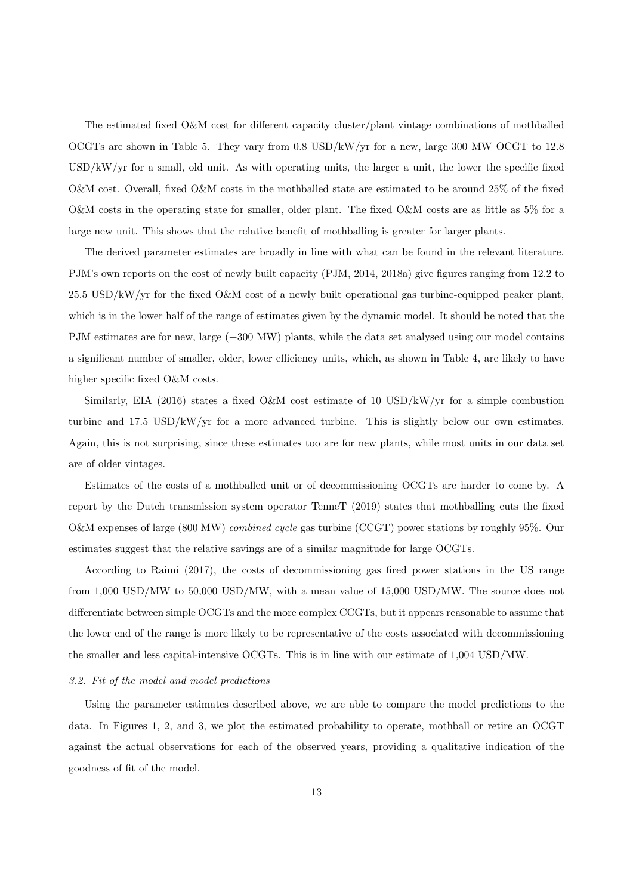The estimated fixed O&M cost for different capacity cluster/plant vintage combinations of mothballed OCGTs are shown in Table 5. They vary from 0.8 USD/kW/yr for a new, large 300 MW OCGT to 12.8 USD/kW/yr for a small, old unit. As with operating units, the larger a unit, the lower the specific fixed O&M cost. Overall, fixed O&M costs in the mothballed state are estimated to be around 25% of the fixed O&M costs in the operating state for smaller, older plant. The fixed O&M costs are as little as 5% for a large new unit. This shows that the relative benefit of mothballing is greater for larger plants.

The derived parameter estimates are broadly in line with what can be found in the relevant literature. PJM's own reports on the cost of newly built capacity (PJM, 2014, 2018a) give figures ranging from 12.2 to 25.5 USD/kW/yr for the fixed O&M cost of a newly built operational gas turbine-equipped peaker plant, which is in the lower half of the range of estimates given by the dynamic model. It should be noted that the PJM estimates are for new, large (+300 MW) plants, while the data set analysed using our model contains a significant number of smaller, older, lower efficiency units, which, as shown in Table 4, are likely to have higher specific fixed O&M costs.

Similarly, EIA (2016) states a fixed O&M cost estimate of 10 USD/kW/yr for a simple combustion turbine and 17.5 USD/kW/yr for a more advanced turbine. This is slightly below our own estimates. Again, this is not surprising, since these estimates too are for new plants, while most units in our data set are of older vintages.

Estimates of the costs of a mothballed unit or of decommissioning OCGTs are harder to come by. A report by the Dutch transmission system operator TenneT (2019) states that mothballing cuts the fixed O&M expenses of large (800 MW) combined cycle gas turbine (CCGT) power stations by roughly 95%. Our estimates suggest that the relative savings are of a similar magnitude for large OCGTs.

According to Raimi (2017), the costs of decommissioning gas fired power stations in the US range from 1,000 USD/MW to 50,000 USD/MW, with a mean value of 15,000 USD/MW. The source does not differentiate between simple OCGTs and the more complex CCGTs, but it appears reasonable to assume that the lower end of the range is more likely to be representative of the costs associated with decommissioning the smaller and less capital-intensive OCGTs. This is in line with our estimate of 1,004 USD/MW.

### 3.2. Fit of the model and model predictions

Using the parameter estimates described above, we are able to compare the model predictions to the data. In Figures 1, 2, and 3, we plot the estimated probability to operate, mothball or retire an OCGT against the actual observations for each of the observed years, providing a qualitative indication of the goodness of fit of the model.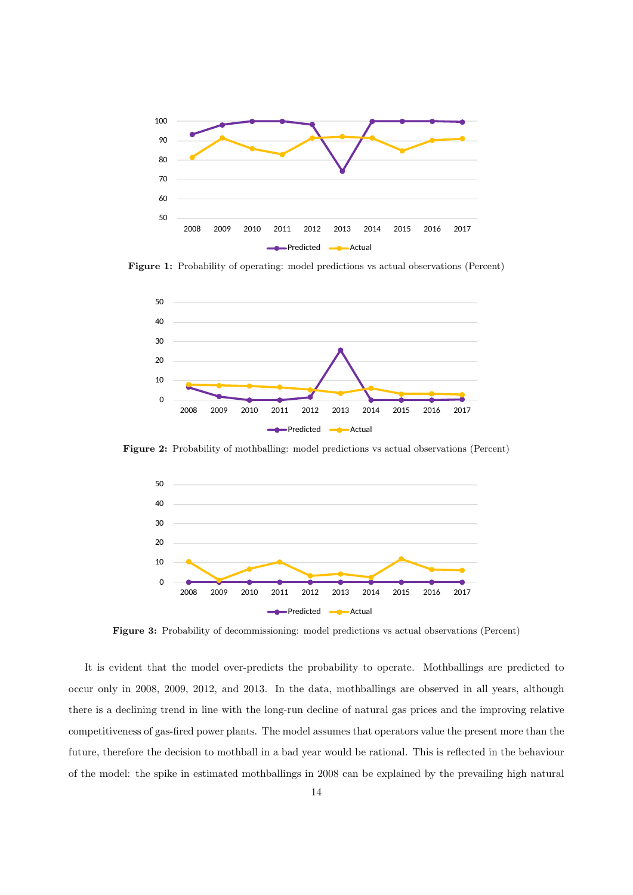

Figure 1: Probability of operating: model predictions vs actual observations (Percent)



Figure 2: Probability of mothballing: model predictions vs actual observations (Percent)



Figure 3: Probability of decommissioning: model predictions vs actual observations (Percent)

It is evident that the model over-predicts the probability to operate. Mothballings are predicted to occur only in 2008, 2009, 2012, and 2013. In the data, mothballings are observed in all years, although there is a declining trend in line with the long-run decline of natural gas prices and the improving relative competitiveness of gas-fired power plants. The model assumes that operators value the present more than the future, therefore the decision to mothball in a bad year would be rational. This is reflected in the behaviour of the model: the spike in estimated mothballings in 2008 can be explained by the prevailing high natural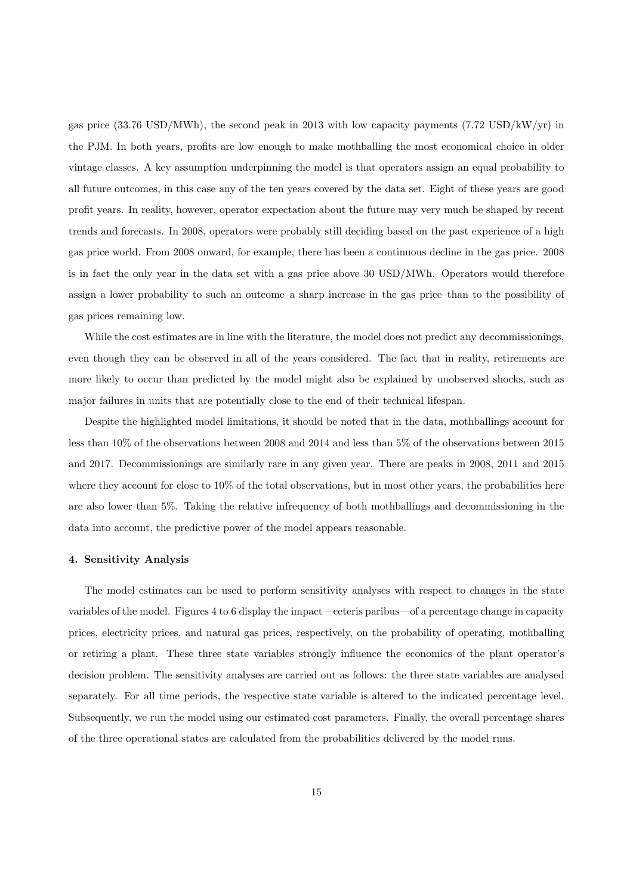gas price (33.76 USD/MWh), the second peak in 2013 with low capacity payments (7.72 USD/kW/yr) in the PJM. In both years, profits are low enough to make mothballing the most economical choice in older vintage classes. A key assumption underpinning the model is that operators assign an equal probability to all future outcomes, in this case any of the ten years covered by the data set. Eight of these years are good profit years. In reality, however, operator expectation about the future may very much be shaped by recent trends and forecasts. In 2008, operators were probably still deciding based on the past experience of a high gas price world. From 2008 onward, for example, there has been a continuous decline in the gas price. 2008 is in fact the only year in the data set with a gas price above 30 USD/MWh. Operators would therefore assign a lower probability to such an outcome–a sharp increase in the gas price–than to the possibility of gas prices remaining low.

While the cost estimates are in line with the literature, the model does not predict any decommissionings, even though they can be observed in all of the years considered. The fact that in reality, retirements are more likely to occur than predicted by the model might also be explained by unobserved shocks, such as major failures in units that are potentially close to the end of their technical lifespan.

Despite the highlighted model limitations, it should be noted that in the data, mothballings account for less than 10% of the observations between 2008 and 2014 and less than 5% of the observations between 2015 and 2017. Decommissionings are similarly rare in any given year. There are peaks in 2008, 2011 and 2015 where they account for close to  $10\%$  of the total observations, but in most other years, the probabilities here are also lower than 5%. Taking the relative infrequency of both mothballings and decommissioning in the data into account, the predictive power of the model appears reasonable.

#### 4. Sensitivity Analysis

The model estimates can be used to perform sensitivity analyses with respect to changes in the state variables of the model. Figures 4 to 6 display the impact—ceteris paribus—of a percentage change in capacity prices, electricity prices, and natural gas prices, respectively, on the probability of operating, mothballing or retiring a plant. These three state variables strongly influence the economics of the plant operator's decision problem. The sensitivity analyses are carried out as follows: the three state variables are analysed separately. For all time periods, the respective state variable is altered to the indicated percentage level. Subsequently, we run the model using our estimated cost parameters. Finally, the overall percentage shares of the three operational states are calculated from the probabilities delivered by the model runs.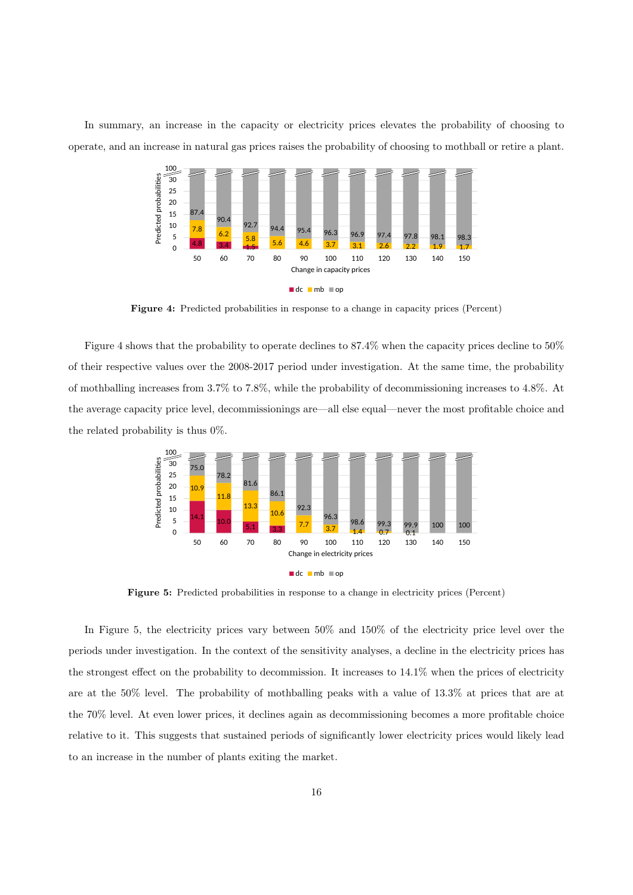In summary, an increase in the capacity or electricity prices elevates the probability of choosing to operate, and an increase in natural gas prices raises the probability of choosing to mothball or retire a plant.



Figure 4: Predicted probabilities in response to a change in capacity prices (Percent)

Figure 4 shows that the probability to operate declines to 87.4% when the capacity prices decline to 50% of their respective values over the 2008-2017 period under investigation. At the same time, the probability of mothballing increases from 3.7% to 7.8%, while the probability of decommissioning increases to 4.8%. At the average capacity price level, decommissionings are—all else equal—never the most profitable choice and the related probability is thus 0%.



Figure 5: Predicted probabilities in response to a change in electricity prices (Percent)

In Figure 5, the electricity prices vary between 50% and 150% of the electricity price level over the periods under investigation. In the context of the sensitivity analyses, a decline in the electricity prices has the strongest effect on the probability to decommission. It increases to 14.1% when the prices of electricity are at the 50% level. The probability of mothballing peaks with a value of 13.3% at prices that are at the 70% level. At even lower prices, it declines again as decommissioning becomes a more profitable choice relative to it. This suggests that sustained periods of significantly lower electricity prices would likely lead to an increase in the number of plants exiting the market.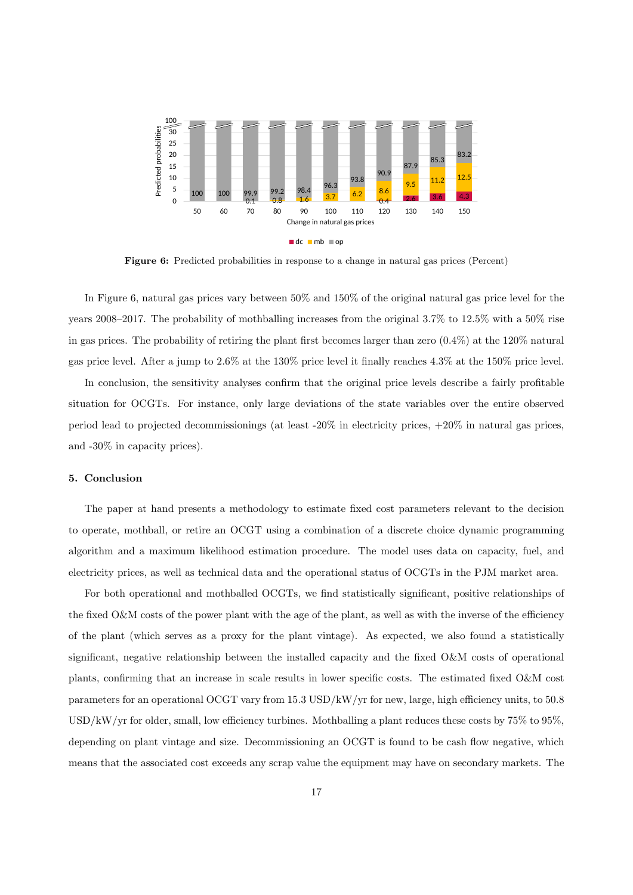

Figure 6: Predicted probabilities in response to a change in natural gas prices (Percent)

In Figure 6, natural gas prices vary between 50% and 150% of the original natural gas price level for the years 2008–2017. The probability of mothballing increases from the original 3.7% to 12.5% with a 50% rise in gas prices. The probability of retiring the plant first becomes larger than zero (0.4%) at the 120% natural gas price level. After a jump to 2.6% at the 130% price level it finally reaches 4.3% at the 150% price level.

In conclusion, the sensitivity analyses confirm that the original price levels describe a fairly profitable situation for OCGTs. For instance, only large deviations of the state variables over the entire observed period lead to projected decommissionings (at least -20% in electricity prices, +20% in natural gas prices, and -30% in capacity prices).

#### 5. Conclusion

The paper at hand presents a methodology to estimate fixed cost parameters relevant to the decision to operate, mothball, or retire an OCGT using a combination of a discrete choice dynamic programming algorithm and a maximum likelihood estimation procedure. The model uses data on capacity, fuel, and electricity prices, as well as technical data and the operational status of OCGTs in the PJM market area.

For both operational and mothballed OCGTs, we find statistically significant, positive relationships of the fixed O&M costs of the power plant with the age of the plant, as well as with the inverse of the efficiency of the plant (which serves as a proxy for the plant vintage). As expected, we also found a statistically significant, negative relationship between the installed capacity and the fixed O&M costs of operational plants, confirming that an increase in scale results in lower specific costs. The estimated fixed O&M cost parameters for an operational OCGT vary from 15.3 USD/kW/yr for new, large, high efficiency units, to 50.8 USD/kW/yr for older, small, low efficiency turbines. Mothballing a plant reduces these costs by 75% to 95%, depending on plant vintage and size. Decommissioning an OCGT is found to be cash flow negative, which means that the associated cost exceeds any scrap value the equipment may have on secondary markets. The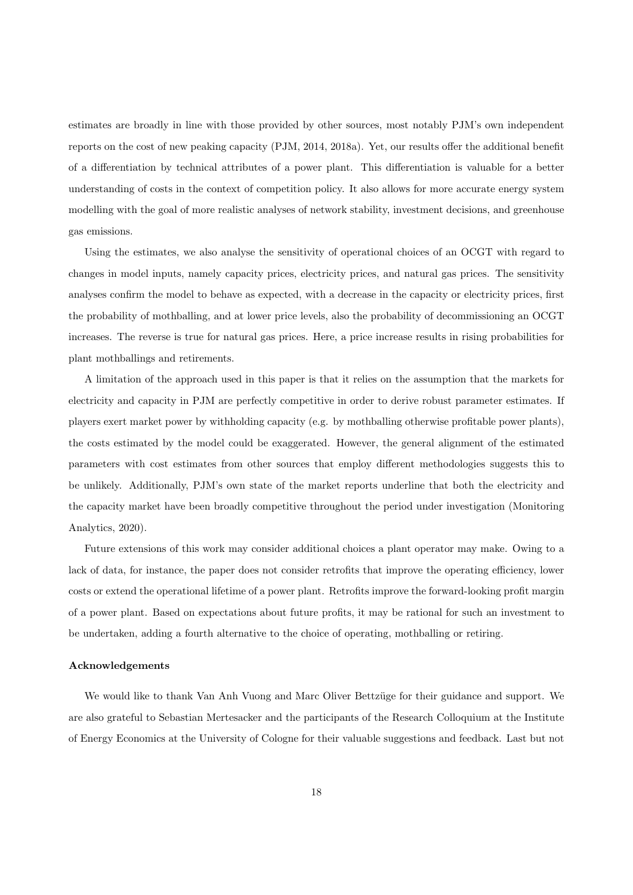estimates are broadly in line with those provided by other sources, most notably PJM's own independent reports on the cost of new peaking capacity (PJM, 2014, 2018a). Yet, our results offer the additional benefit of a differentiation by technical attributes of a power plant. This differentiation is valuable for a better understanding of costs in the context of competition policy. It also allows for more accurate energy system modelling with the goal of more realistic analyses of network stability, investment decisions, and greenhouse gas emissions.

Using the estimates, we also analyse the sensitivity of operational choices of an OCGT with regard to changes in model inputs, namely capacity prices, electricity prices, and natural gas prices. The sensitivity analyses confirm the model to behave as expected, with a decrease in the capacity or electricity prices, first the probability of mothballing, and at lower price levels, also the probability of decommissioning an OCGT increases. The reverse is true for natural gas prices. Here, a price increase results in rising probabilities for plant mothballings and retirements.

A limitation of the approach used in this paper is that it relies on the assumption that the markets for electricity and capacity in PJM are perfectly competitive in order to derive robust parameter estimates. If players exert market power by withholding capacity (e.g. by mothballing otherwise profitable power plants), the costs estimated by the model could be exaggerated. However, the general alignment of the estimated parameters with cost estimates from other sources that employ different methodologies suggests this to be unlikely. Additionally, PJM's own state of the market reports underline that both the electricity and the capacity market have been broadly competitive throughout the period under investigation (Monitoring Analytics, 2020).

Future extensions of this work may consider additional choices a plant operator may make. Owing to a lack of data, for instance, the paper does not consider retrofits that improve the operating efficiency, lower costs or extend the operational lifetime of a power plant. Retrofits improve the forward-looking profit margin of a power plant. Based on expectations about future profits, it may be rational for such an investment to be undertaken, adding a fourth alternative to the choice of operating, mothballing or retiring.

#### Acknowledgements

We would like to thank Van Anh Vuong and Marc Oliver Bettzüge for their guidance and support. We are also grateful to Sebastian Mertesacker and the participants of the Research Colloquium at the Institute of Energy Economics at the University of Cologne for their valuable suggestions and feedback. Last but not